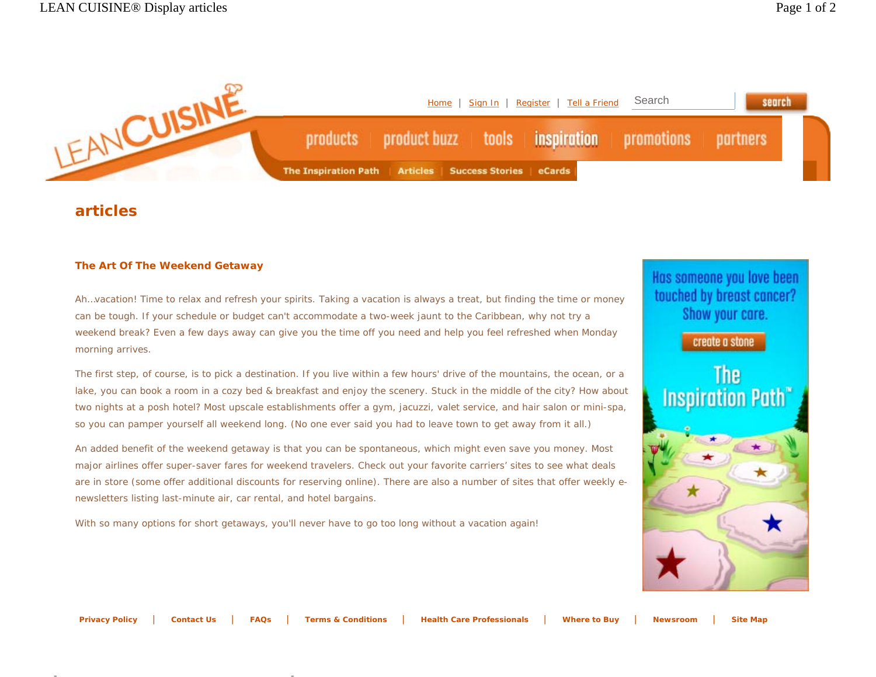

## **articles**

## **The Art Of The Weekend Getaway**

Ah…vacation! Time to relax and refresh your spirits. Taking a vacation is always a treat, but finding the time or money can be tough. If your schedule or budget can't accommodate a two-week jaunt to the Caribbean, why not try a weekend break? Even a few days away can give you the time off you need and help you feel refreshed when Monday morning arrives.

The first step, of course, is to pick a destination. If you live within a few hours' drive of the mountains, the ocean, or a lake, you can book a room in a cozy bed & breakfast and enjoy the scenery. Stuck in the middle of the city? How about two nights at a posh hotel? Most upscale establishments offer a gym, jacuzzi, valet service, and hair salon or mini-spa, so you can pamper yourself all weekend long. (No one ever said you had to leave town to get away from it all.)

An added benefit of the weekend getaway is that you can be spontaneous, which might even save you money. Most major airlines offer super-saver fares for weekend travelers. Check out your favorite carriers' sites to see what deals are in store (some offer additional discounts for reserving online). There are also a number of sites that offer weekly enewsletters listing last-minute air, car rental, and hotel bargains.

With so many options for short getaways, you'll never have to go too long without a vacation again!

Has someone you love been touched by breast cancer? Show your care.

create a stone



**Privacy Policy** | **Contact Us** | **FAQs** | **Terms & Conditions** | **Health Care Professionals** | **Where to Buy** | **Newsroom** | **Site Map**

http://www.leancuisine.com/Article/International/Article/International/Article/International/Article/Internatio<br>Article